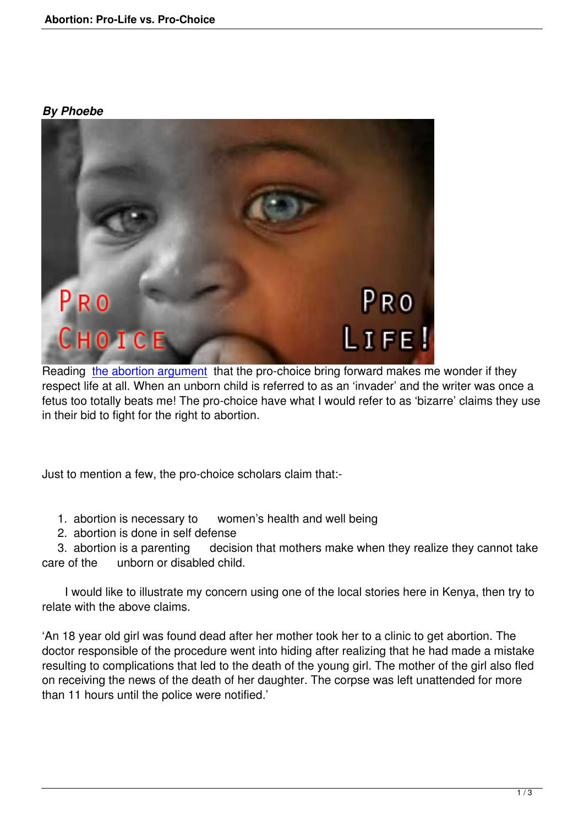## *By Phoebe*



Reading the abortion argument that the pro-choice bring forward makes me wonder if they respect life at all. When an unborn child is referred to as an 'invader' and the writer was once a fetus too totally beats me! The pro-choice have what I would refer to as 'bizarre' claims they use in their bi[d to fight for the right to](http://www.thepublicdiscourse.com/2011/08/3559) abortion.

Just to mention a few, the pro-choice scholars claim that:-

- 1. abortion is necessary to women's health and well being
- 2. abortion is done in self defense

 3. abortion is a parenting decision that mothers make when they realize they cannot take care of the unborn or disabled child.

 I would like to illustrate my concern using one of the local stories here in Kenya, then try to relate with the above claims.

'An 18 year old girl was found dead after her mother took her to a clinic to get abortion. The doctor responsible of the procedure went into hiding after realizing that he had made a mistake resulting to complications that led to the death of the young girl. The mother of the girl also fled on receiving the news of the death of her daughter. The corpse was left unattended for more than 11 hours until the police were notified.'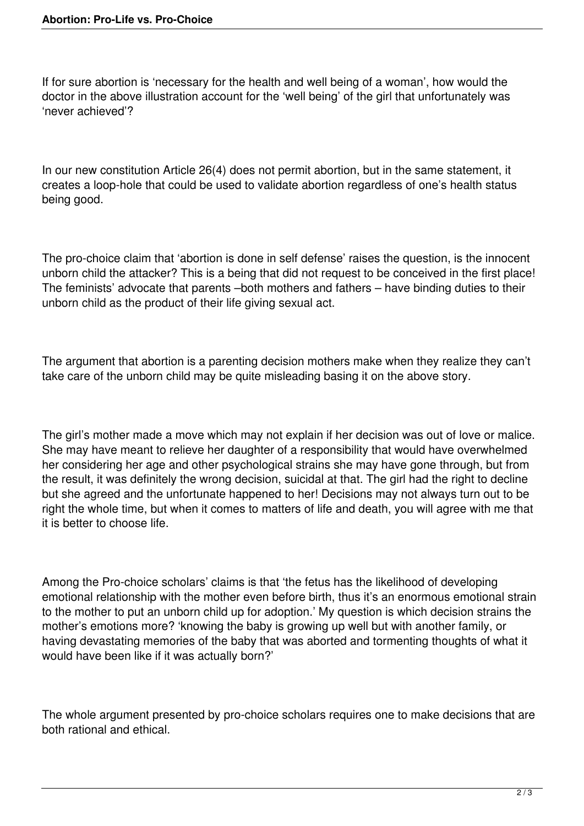If for sure abortion is 'necessary for the health and well being of a woman', how would the doctor in the above illustration account for the 'well being' of the girl that unfortunately was 'never achieved'?

In our new constitution Article 26(4) does not permit abortion, but in the same statement, it creates a loop-hole that could be used to validate abortion regardless of one's health status being good.

The pro-choice claim that 'abortion is done in self defense' raises the question, is the innocent unborn child the attacker? This is a being that did not request to be conceived in the first place! The feminists' advocate that parents –both mothers and fathers – have binding duties to their unborn child as the product of their life giving sexual act.

The argument that abortion is a parenting decision mothers make when they realize they can't take care of the unborn child may be quite misleading basing it on the above story.

The girl's mother made a move which may not explain if her decision was out of love or malice. She may have meant to relieve her daughter of a responsibility that would have overwhelmed her considering her age and other psychological strains she may have gone through, but from the result, it was definitely the wrong decision, suicidal at that. The girl had the right to decline but she agreed and the unfortunate happened to her! Decisions may not always turn out to be right the whole time, but when it comes to matters of life and death, you will agree with me that it is better to choose life.

Among the Pro-choice scholars' claims is that 'the fetus has the likelihood of developing emotional relationship with the mother even before birth, thus it's an enormous emotional strain to the mother to put an unborn child up for adoption.' My question is which decision strains the mother's emotions more? 'knowing the baby is growing up well but with another family, or having devastating memories of the baby that was aborted and tormenting thoughts of what it would have been like if it was actually born?'

The whole argument presented by pro-choice scholars requires one to make decisions that are both rational and ethical.